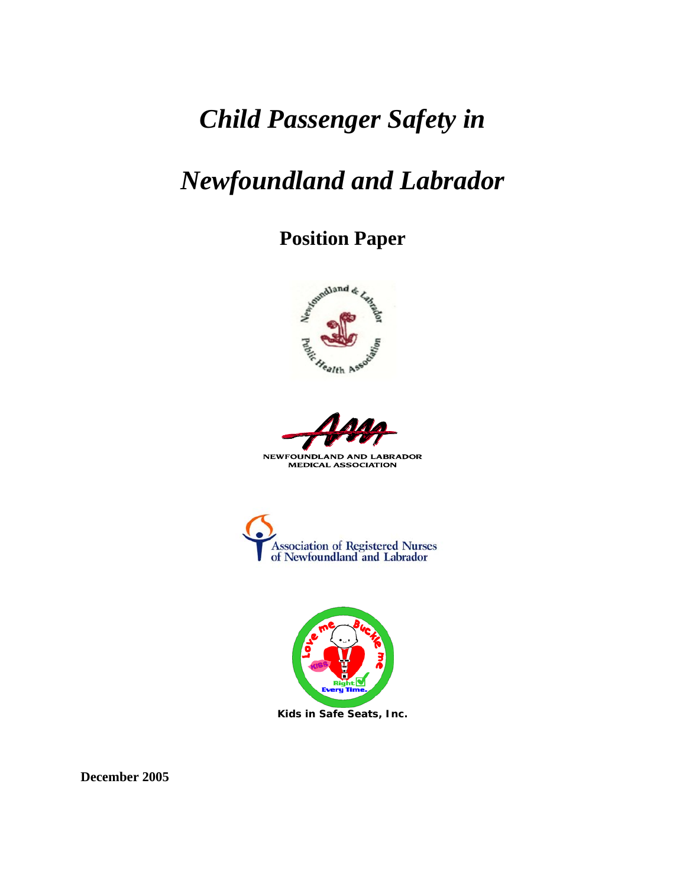# *Child Passenger Safety in*

# *Newfoundland and Labrador*

# **Position Paper**





MEDICAL ASSOCIATION





**December 2005**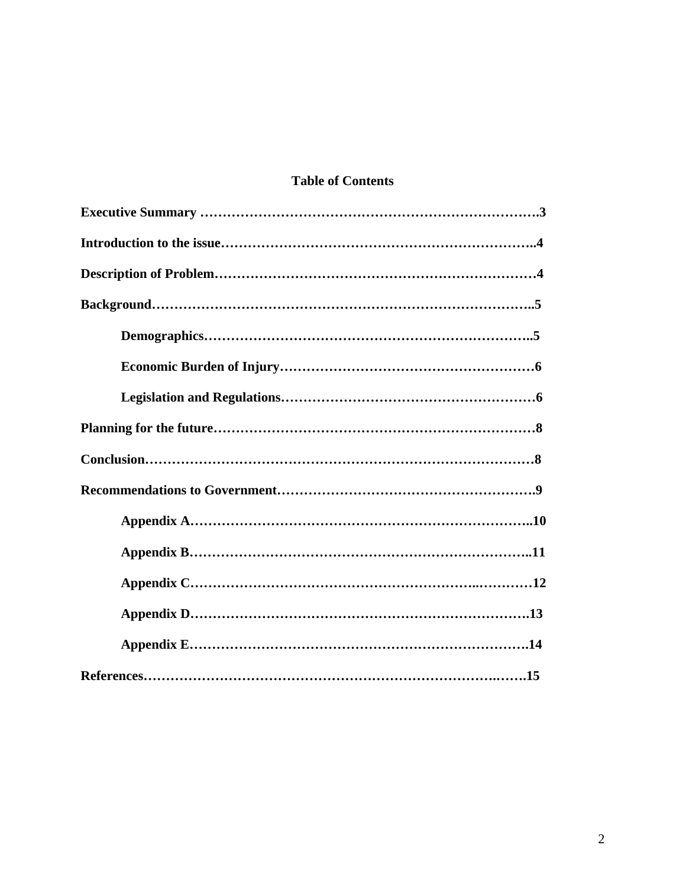### **Table of Contents**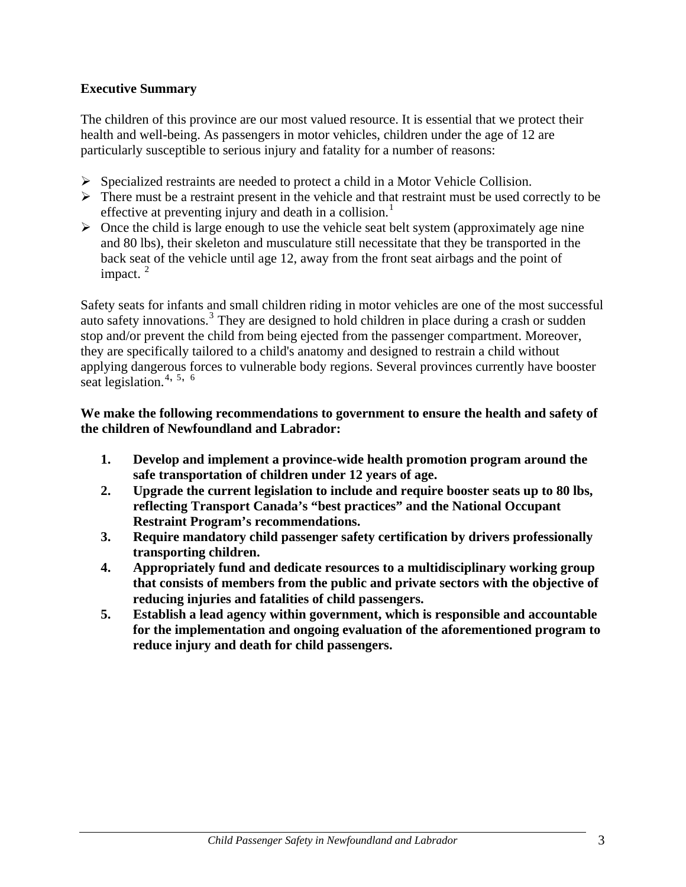#### **Executive Summary**

The children of this province are our most valued resource. It is essential that we protect their health and well-being. As passengers in motor vehicles, children under the age of 12 are particularly susceptible to serious injury and fatality for a number of reasons:

- $\triangleright$  Specialized restraints are needed to protect a child in a Motor Vehicle Collision.
- $\triangleright$  There must be a restraint present in the vehicle and that restraint must be used correctly to be effective at preventing injury and death in a collision.<sup>[1](#page-16-0)</sup>
- $\triangleright$  Once the child is large enough to use the vehicle seat belt system (approximately age nine and 80 lbs), their skeleton and musculature still necessitate that they be transported in the back seat of the vehicle until age 12, away from the front seat airbags and the point of impact.  $2^{\circ}$  $2^{\circ}$

Safety seats for infants and small children riding in motor vehicles are one of the most successful auto safety innovations.<sup>[3](#page-16-1)</sup> They are designed to hold children in place during a crash or sudden stop and/or prevent the child from being ejected from the passenger compartment. Moreover, they are specifically tailored to a child's anatomy and designed to restrain a child without applying dangerous forces to vulnerable body regions. Several provinces currently have booster seat legislation.[4](#page-16-1)**,** [5](#page-16-1)**,** 6

#### **We make the following recommendations to government to ensure the health and safety of the children of Newfoundland and Labrador:**

- **1. Develop and implement a province-wide health promotion program around the safe transportation of children under 12 years of age.**
- **2. Upgrade the current legislation to include and require booster seats up to 80 lbs, reflecting Transport Canada's "best practices" and the National Occupant Restraint Program's recommendations.**
- **3. Require mandatory child passenger safety certification by drivers professionally transporting children.**
- **4. Appropriately fund and dedicate resources to a multidisciplinary working group that consists of members from the public and private sectors with the objective of reducing injuries and fatalities of child passengers.**
- **5. Establish a lead agency within government, which is responsible and accountable for the implementation and ongoing evaluation of the aforementioned program to reduce injury and death for child passengers.**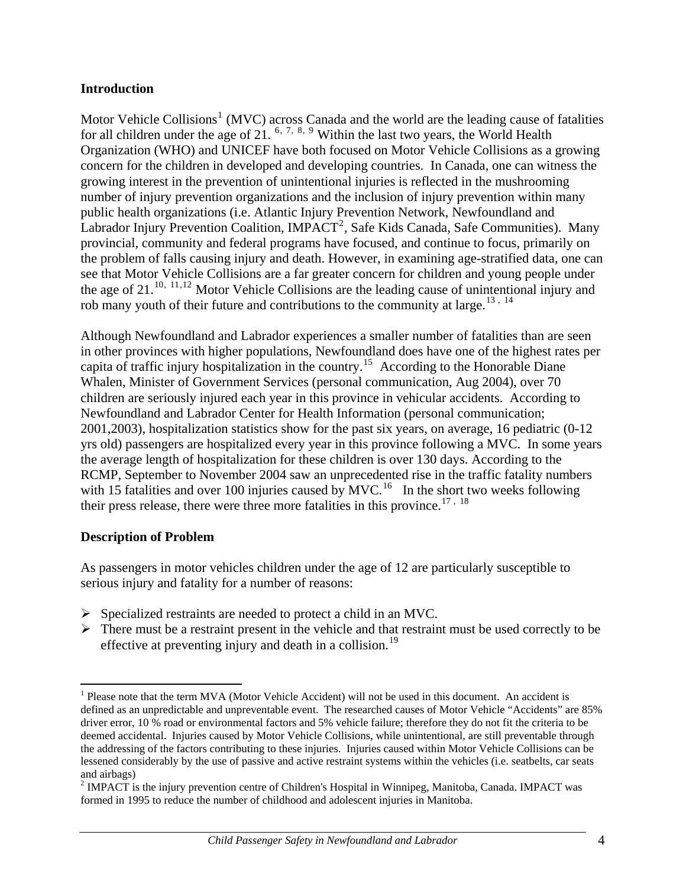#### **Introduction**

Motor Vehicle Collisions<sup>[1](#page-3-0)</sup> (MVC) across Canada and the world are the leading cause of fatalities for all children under the age of 21.  $6, 7, 8, 9$  $6, 7, 8, 9$  $6, 7, 8, 9$  $6, 7, 8, 9$  $6, 7, 8, 9$  $6, 7, 8, 9$  $6, 7, 8, 9$  Within the last two years, the World Health Organization (WHO) and UNICEF have both focused on Motor Vehicle Collisions as a growing concern for the children in developed and developing countries. In Canada, one can witness the growing interest in the prevention of unintentional injuries is reflected in the mushrooming number of injury prevention organizations and the inclusion of injury prevention within many public health organizations (i.e. Atlantic Injury Prevention Network, Newfoundland and Labrador Injury Prevention Coalition, IMPACT<sup>[2](#page-3-1)</sup>, Safe Kids Canada, Safe Communities). Many provincial, community and federal programs have focused, and continue to focus, primarily on the problem of falls causing injury and death. However, in examining age-stratified data, one can see that Motor Vehicle Collisions are a far greater concern for children and young people under the age of  $21^{10, 11, 12}$  $21^{10, 11, 12}$  $21^{10, 11, 12}$  $21^{10, 11, 12}$  $21^{10, 11, 12}$  $21^{10, 11, 12}$  $21^{10, 11, 12}$  Motor Vehicle Collisions are the leading cause of unintentional injury and rob many youth of their future and contributions to the community at large.<sup>[13](#page-16-1), [14](#page-16-1)</sup>

Although Newfoundland and Labrador experiences a smaller number of fatalities than are seen in other provinces with higher populations, Newfoundland does have one of the highest rates per capita of traffic injury hospitalization in the country.<sup>[15](#page-16-1)</sup> According to the Honorable Diane Whalen, Minister of Government Services (personal communication, Aug 2004), over 70 children are seriously injured each year in this province in vehicular accidents. According to Newfoundland and Labrador Center for Health Information (personal communication; 2001,2003), hospitalization statistics show for the past six years, on average, 16 pediatric (0-12 yrs old) passengers are hospitalized every year in this province following a MVC. In some years the average length of hospitalization for these children is over 130 days. According to the RCMP, September to November 2004 saw an unprecedented rise in the traffic fatality numbers with 15 fatalities and over 100 injuries caused by  $MVC<sup>16</sup>$  $MVC<sup>16</sup>$  $MVC<sup>16</sup>$  In the short two weeks following their press release, there were three more fatalities in this province.<sup>[17](#page-16-1), [18](#page-16-1)</sup>

#### **Description of Problem**

 $\overline{a}$ 

As passengers in motor vehicles children under the age of 12 are particularly susceptible to serious injury and fatality for a number of reasons:

- $\triangleright$  Specialized restraints are needed to protect a child in an MVC.
- $\triangleright$  There must be a restraint present in the vehicle and that restraint must be used correctly to be effective at preventing injury and death in a collision.<sup>[19](#page-16-1)</sup>

<span id="page-3-0"></span> $<sup>1</sup>$  Please note that the term MVA (Motor Vehicle Accident) will not be used in this document. An accident is</sup> defined as an unpredictable and unpreventable event. The researched causes of Motor Vehicle "Accidents" are 85% driver error, 10 % road or environmental factors and 5% vehicle failure; therefore they do not fit the criteria to be deemed accidental. Injuries caused by Motor Vehicle Collisions, while unintentional, are still preventable through the addressing of the factors contributing to these injuries. Injuries caused within Motor Vehicle Collisions can be lessened considerably by the use of passive and active restraint systems within the vehicles (i.e. seatbelts, car seats and airbags)

<span id="page-3-1"></span><sup>&</sup>lt;sup>2</sup> IMPACT is the injury prevention centre of Children's Hospital in Winnipeg, Manitoba, Canada. IMPACT was formed in 1995 to reduce the number of childhood and adolescent injuries in Manitoba.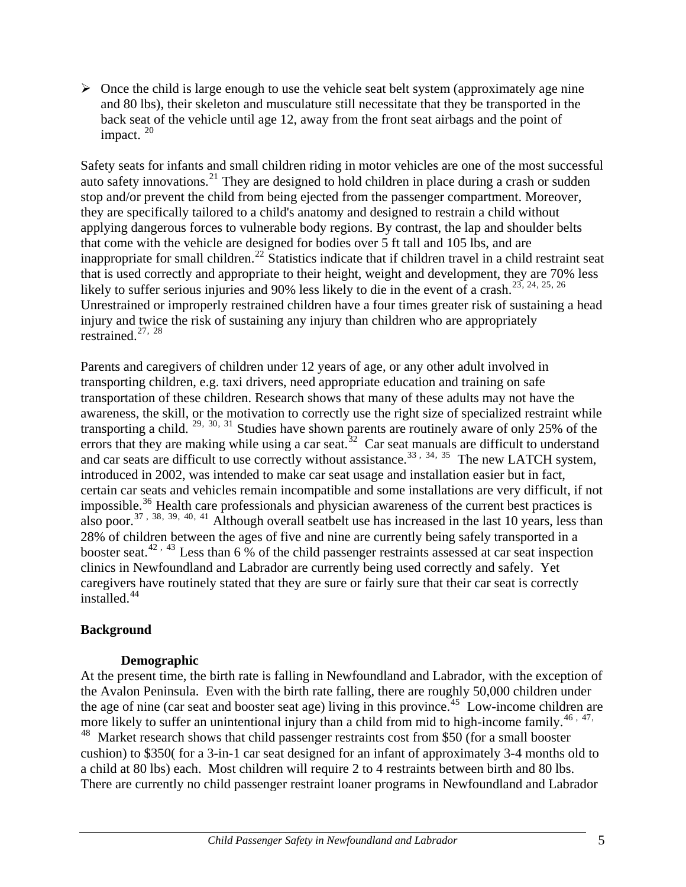$\triangleright$  Once the child is large enough to use the vehicle seat belt system (approximately age nine and 80 lbs), their skeleton and musculature still necessitate that they be transported in the back seat of the vehicle until age 12, away from the front seat airbags and the point of impact.  $20$ 

Safety seats for infants and small children riding in motor vehicles are one of the most successful auto safety innovations.<sup>[21](#page-16-1)</sup> They are designed to hold children in place during a crash or sudden stop and/or prevent the child from being ejected from the passenger compartment. Moreover, they are specifically tailored to a child's anatomy and designed to restrain a child without applying dangerous forces to vulnerable body regions. By contrast, the lap and shoulder belts that come with the vehicle are designed for bodies over 5 ft tall and 105 lbs, and are inappropriate for small children.[22](#page-16-1) Statistics indicate that if children travel in a child restraint seat that is used correctly and appropriate to their height, weight and development, they are 70% less likely to suffer serious injuries and 90% less likely to die in the event of a crash.<sup>[23](#page-16-1), [24](#page-16-1), 25, [26](#page-16-1)</sup> Unrestrained or improperly restrained children have a four times greater risk of sustaining a head injury and twice the risk of sustaining any injury than children who are appropriately restrained.[27](#page-16-1), [28](#page-16-1)

Parents and caregivers of children under 12 years of age, or any other adult involved in transporting children, e.g. taxi drivers, need appropriate education and training on safe transportation of these children. Research shows that many of these adults may not have the awareness, the skill, or the motivation to correctly use the right size of specialized restraint while transporting a child.  $29, 30, 31$  $29, 30, 31$  $29, 30, 31$  $29, 30, 31$  $29, 30, 31$  Studies have shown parents are routinely aware of only 25% of the errors that they are making while using a car seat.<sup>[32](#page-16-1)</sup> Car seat manuals are difficult to understand and car seats are difficult to use correctly without assistance.<sup>[33](#page-16-1), [34](#page-16-1), [35](#page-16-1)</sup> The new LATCH system, introduced in 2002, was intended to make car seat usage and installation easier but in fact, certain car seats and vehicles remain incompatible and some installations are very difficult, if not impossible.<sup>[36](#page-16-1)</sup> Health care professionals and physician awareness of the current best practices is also poor.<sup>[37](#page-16-1), [38](#page-16-1), [39](#page-16-1), [40](#page-16-1), [41](#page-16-1)</sup> Although overall seatbelt use has increased in the last 10 years, less than 28% of children between the ages of five and nine are currently being safely transported in a booster seat.<sup>[42](#page-16-1), [43](#page-16-1)</sup> Less than 6 % of the child passenger restraints assessed at car seat inspection clinics in Newfoundland and Labrador are currently being used correctly and safely. Yet caregivers have routinely stated that they are sure or fairly sure that their car seat is correctly installed.<sup>[44](#page-16-1)</sup>

#### **Background**

#### **Demographic**

At the present time, the birth rate is falling in Newfoundland and Labrador, with the exception of the Avalon Peninsula. Even with the birth rate falling, there are roughly 50,000 children under the age of nine (car seat and booster seat age) living in this province.<sup>[45](#page-16-1)</sup> Low-income children are more likely to suffer an unintentional injury than a child from mid to high-income family.<sup>[46](#page-16-1), [47](#page-16-1),</sup>

<sup>[48](#page-16-1)</sup> Market research shows that child passenger restraints cost from \$50 (for a small booster cushion) to \$350( for a 3-in-1 car seat designed for an infant of approximately 3-4 months old to a child at 80 lbs) each. Most children will require 2 to 4 restraints between birth and 80 lbs. There are currently no child passenger restraint loaner programs in Newfoundland and Labrador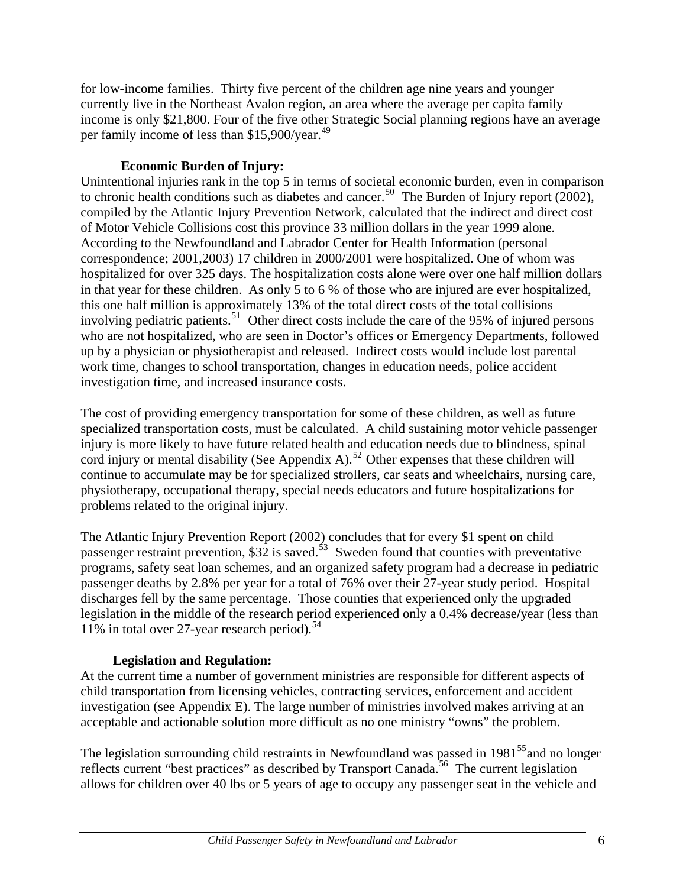for low-income families. Thirty five percent of the children age nine years and younger currently live in the Northeast Avalon region, an area where the average per capita family income is only \$21,800. Four of the five other Strategic Social planning regions have an average per family income of less than \$15,900/year.<sup>[49](#page-16-1)</sup>

#### **Economic Burden of Injury:**

Unintentional injuries rank in the top 5 in terms of societal economic burden, even in comparison to chronic health conditions such as diabetes and cancer.<sup>[50](#page-16-1)</sup> The Burden of Injury report (2002), compiled by the Atlantic Injury Prevention Network, calculated that the indirect and direct cost of Motor Vehicle Collisions cost this province 33 million dollars in the year 1999 alone*.* According to the Newfoundland and Labrador Center for Health Information (personal correspondence; 2001,2003) 17 children in 2000/2001 were hospitalized. One of whom was hospitalized for over 325 days. The hospitalization costs alone were over one half million dollars in that year for these children. As only 5 to 6 % of those who are injured are ever hospitalized, this one half million is approximately 13% of the total direct costs of the total collisions involving pediatric patients.<sup>[51](#page-16-1)</sup> Other direct costs include the care of the 95% of injured persons who are not hospitalized, who are seen in Doctor's offices or Emergency Departments, followed up by a physician or physiotherapist and released. Indirect costs would include lost parental work time, changes to school transportation, changes in education needs, police accident investigation time, and increased insurance costs.

The cost of providing emergency transportation for some of these children, as well as future specialized transportation costs, must be calculated. A child sustaining motor vehicle passenger injury is more likely to have future related health and education needs due to blindness, spinal cord injury or mental disability (See Appendix A).<sup>[52](#page-16-1)</sup> Other expenses that these children will continue to accumulate may be for specialized strollers, car seats and wheelchairs, nursing care, physiotherapy, occupational therapy, special needs educators and future hospitalizations for problems related to the original injury.

The Atlantic Injury Prevention Report (2002) concludes that for every \$1 spent on child passenger restraint prevention,  $$32$  is saved.<sup>[53](#page-16-1)</sup> Sweden found that counties with preventative programs, safety seat loan schemes, and an organized safety program had a decrease in pediatric passenger deaths by 2.8% per year for a total of 76% over their 27-year study period. Hospital discharges fell by the same percentage. Those counties that experienced only the upgraded legislation in the middle of the research period experienced only a 0.4% decrease**/**year (less than 11% in total over 27-year research period).<sup>[54](#page-16-1)</sup>

#### **Legislation and Regulation:**

At the current time a number of government ministries are responsible for different aspects of child transportation from licensing vehicles, contracting services, enforcement and accident investigation (see Appendix E). The large number of ministries involved makes arriving at an acceptable and actionable solution more difficult as no one ministry "owns" the problem.

The legislation surrounding child restraints in Newfoundland was passed in  $1981<sup>55</sup>$  $1981<sup>55</sup>$  $1981<sup>55</sup>$  and no longer reflects current "best practices" as described by Transport Canada.<sup>[56](#page-16-1)</sup> The current legislation allows for children over 40 lbs or 5 years of age to occupy any passenger seat in the vehicle and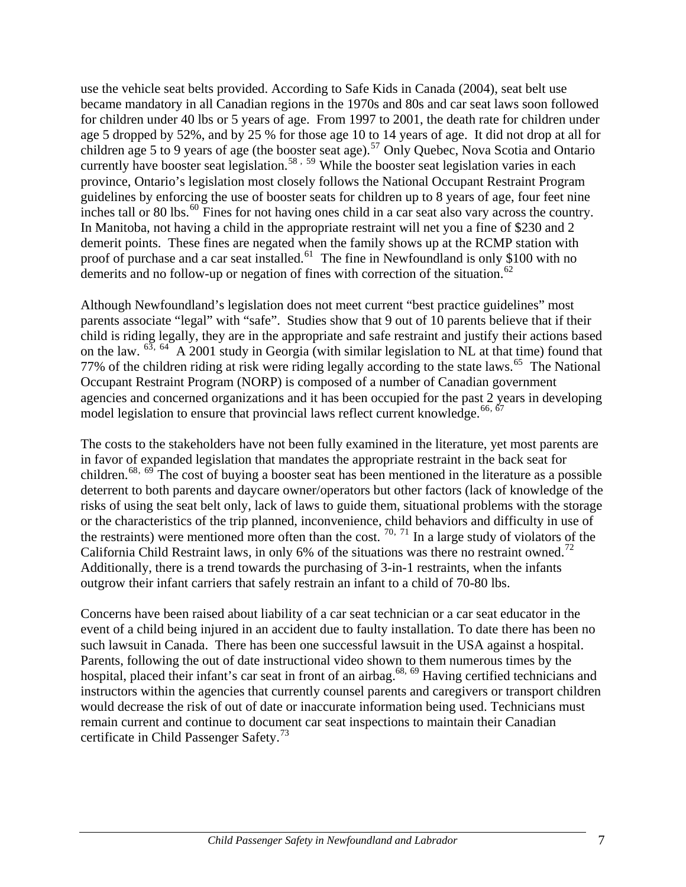use the vehicle seat belts provided. According to Safe Kids in Canada (2004), seat belt use became mandatory in all Canadian regions in the 1970s and 80s and car seat laws soon followed for children under 40 lbs or 5 years of age. From 1997 to 2001, the death rate for children under age 5 dropped by 52%, and by 25 % for those age 10 to 14 years of age. It did not drop at all for children age 5 to 9 years of age (the booster seat age).<sup>[57](#page-16-1)</sup> Only Quebec, Nova Scotia and Ontario currently have booster seat legislation.<sup>[58](#page-16-1), [59](#page-16-1)</sup> While the booster seat legislation varies in each province, Ontario's legislation most closely follows the National Occupant Restraint Program guidelines by enforcing the use of booster seats for children up to 8 years of age, four feet nine inches tall or 80 lbs.<sup>[60](#page-16-1)</sup> Fines for not having ones child in a car seat also vary across the country. In Manitoba, not having a child in the appropriate restraint will net you a fine of \$230 and 2 demerit points. These fines are negated when the family shows up at the RCMP station with proof of purchase and a car seat installed.<sup>[61](#page-16-1)</sup> The fine in Newfoundland is only \$100 with no demerits and no follow-up or negation of fines with correction of the situation.<sup>[62](#page-16-1)</sup>

Although Newfoundland's legislation does not meet current "best practice guidelines" most parents associate "legal" with "safe". Studies show that 9 out of 10 parents believe that if their child is riding legally, they are in the appropriate and safe restraint and justify their actions based on the law.  $^{63}$  $^{63}$  $^{63}$ ,  $^{64}$  $^{64}$  $^{64}$  A 2001 study in Georgia (with similar legislation to NL at that time) found that 77% of the children riding at risk were riding legally according to the state laws.<sup>[65](#page-16-1)</sup> The National Occupant Restraint Program (NORP) is composed of a number of Canadian government agencies and concerned organizations and it has been occupied for the past 2 years in developing model legislation to ensure that provincial laws reflect current knowledge.<sup>[66](#page-16-1), [67](#page-16-1)</sup>

The costs to the stakeholders have not been fully examined in the literature, yet most parents are in favor of expanded legislation that mandates the appropriate restraint in the back seat for children.<sup>[68](#page-16-1), [69](#page-16-1)</sup> The cost of buying a booster seat has been mentioned in the literature as a possible deterrent to both parents and daycare owner/operators but other factors (lack of knowledge of the risks of using the seat belt only, lack of laws to guide them, situational problems with the storage or the characteristics of the trip planned, inconvenience, child behaviors and difficulty in use of the restraints) were mentioned more often than the cost.  $70, 71$  $70, 71$  $70, 71$  In a large study of violators of the California Child Restraint laws, in only 6% of the situations was there no restraint owned.<sup>[72](#page-16-1)</sup> Additionally, there is a trend towards the purchasing of 3-in-1 restraints, when the infants outgrow their infant carriers that safely restrain an infant to a child of 70-80 lbs.

Concerns have been raised about liability of a car seat technician or a car seat educator in the event of a child being injured in an accident due to faulty installation. To date there has been no such lawsuit in Canada. There has been one successful lawsuit in the USA against a hospital. Parents, following the out of date instructional video shown to them numerous times by the hospital, placed their infant's car seat in front of an airbag.<sup>68, 69</sup> Having certified technicians and instructors within the agencies that currently counsel parents and caregivers or transport children would decrease the risk of out of date or inaccurate information being used. Technicians must remain current and continue to document car seat inspections to maintain their Canadian certificate in Child Passenger Safety.<sup>[73](#page-16-1)</sup>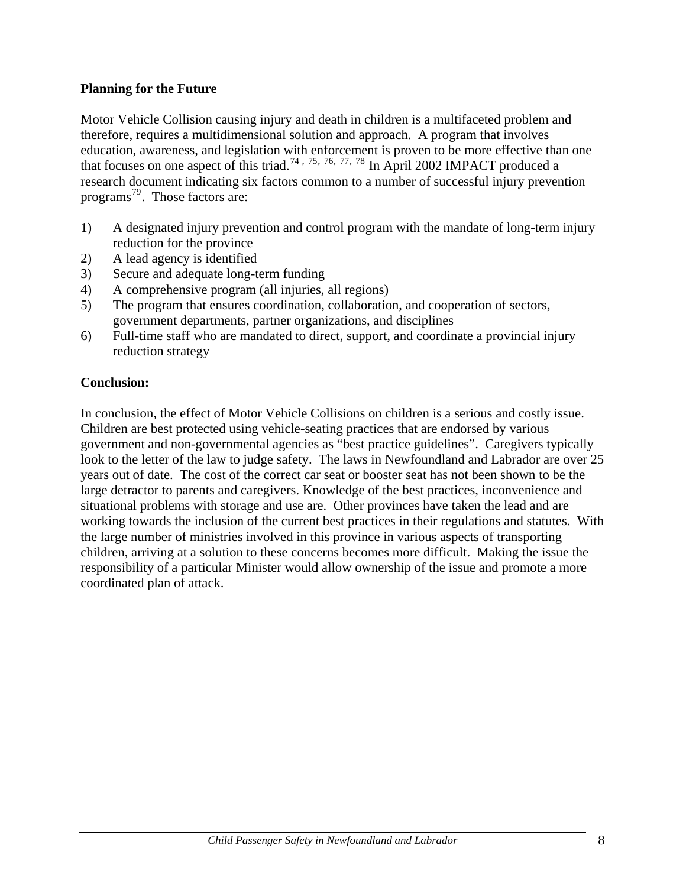#### **Planning for the Future**

Motor Vehicle Collision causing injury and death in children is a multifaceted problem and therefore, requires a multidimensional solution and approach. A program that involves education, awareness, and legislation with enforcement is proven to be more effective than one that focuses on one aspect of this triad.<sup>[74](#page-16-1), [75](#page-16-1), [76](#page-16-1), [77](#page-16-1), [78](#page-16-1)</sup> In April 2002 IMPACT produced a research document indicating six factors common to a number of successful injury prevention programs<sup>[79](#page-16-1)</sup>. Those factors are:

- 1) A designated injury prevention and control program with the mandate of long-term injury reduction for the province
- 2) A lead agency is identified
- 3) Secure and adequate long-term funding
- 4) A comprehensive program (all injuries, all regions)
- 5) The program that ensures coordination, collaboration, and cooperation of sectors, government departments, partner organizations, and disciplines
- 6) Full-time staff who are mandated to direct, support, and coordinate a provincial injury reduction strategy

#### **Conclusion:**

In conclusion, the effect of Motor Vehicle Collisions on children is a serious and costly issue. Children are best protected using vehicle-seating practices that are endorsed by various government and non-governmental agencies as "best practice guidelines". Caregivers typically look to the letter of the law to judge safety. The laws in Newfoundland and Labrador are over 25 years out of date. The cost of the correct car seat or booster seat has not been shown to be the large detractor to parents and caregivers. Knowledge of the best practices, inconvenience and situational problems with storage and use are. Other provinces have taken the lead and are working towards the inclusion of the current best practices in their regulations and statutes. With the large number of ministries involved in this province in various aspects of transporting children, arriving at a solution to these concerns becomes more difficult. Making the issue the responsibility of a particular Minister would allow ownership of the issue and promote a more coordinated plan of attack.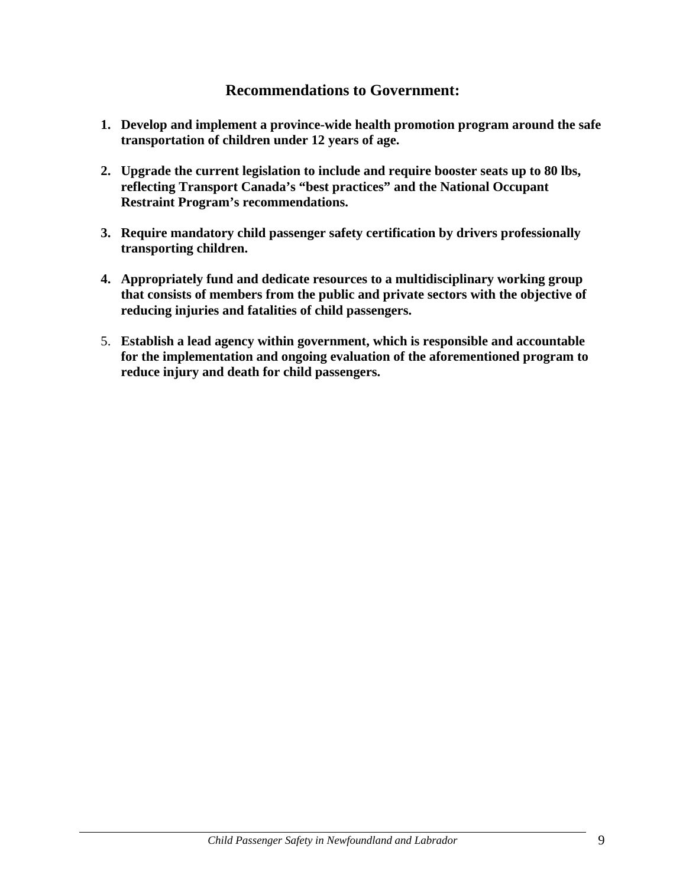## **Recommendations to Government:**

- **1. Develop and implement a province-wide health promotion program around the safe transportation of children under 12 years of age.**
- **2. Upgrade the current legislation to include and require booster seats up to 80 lbs, reflecting Transport Canada's "best practices" and the National Occupant Restraint Program's recommendations.**
- **3. Require mandatory child passenger safety certification by drivers professionally transporting children.**
- **4. Appropriately fund and dedicate resources to a multidisciplinary working group that consists of members from the public and private sectors with the objective of reducing injuries and fatalities of child passengers.**
- 5. **Establish a lead agency within government, which is responsible and accountable for the implementation and ongoing evaluation of the aforementioned program to reduce injury and death for child passengers.**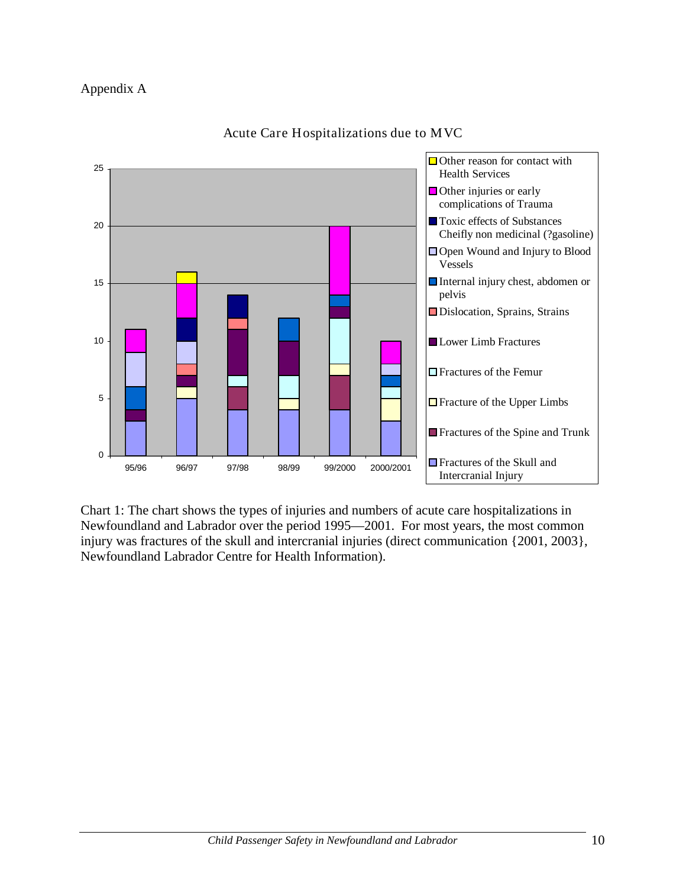

Acute Care Hospitalizations due to MVC

Chart 1: The chart shows the types of injuries and numbers of acute care hospitalizations in Newfoundland and Labrador over the period 1995—2001. For most years, the most common injury was fractures of the skull and intercranial injuries (direct communication {2001, 2003}, Newfoundland Labrador Centre for Health Information).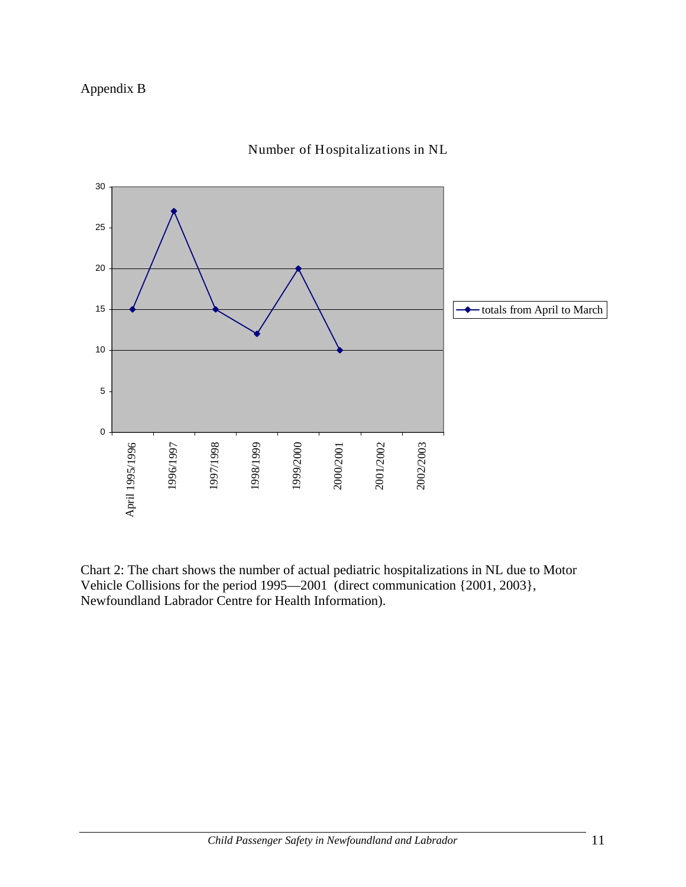

#### Number of Hospitalizations in NL

Chart 2: The chart shows the number of actual pediatric hospitalizations in NL due to Motor Vehicle Collisions for the period 1995—2001 (direct communication {2001, 2003}, Newfoundland Labrador Centre for Health Information).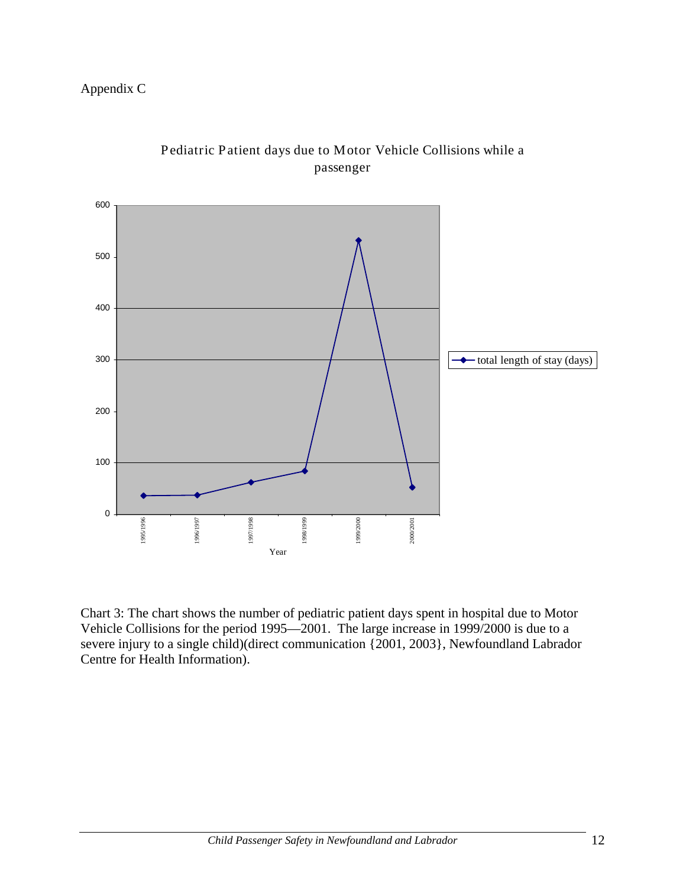## Appendix C



# Pediatric Patient days due to Motor Vehicle Collisions while a passenger

Chart 3: The chart shows the number of pediatric patient days spent in hospital due to Motor Vehicle Collisions for the period 1995—2001. The large increase in 1999/2000 is due to a severe injury to a single child)(direct communication {2001, 2003}, Newfoundland Labrador Centre for Health Information).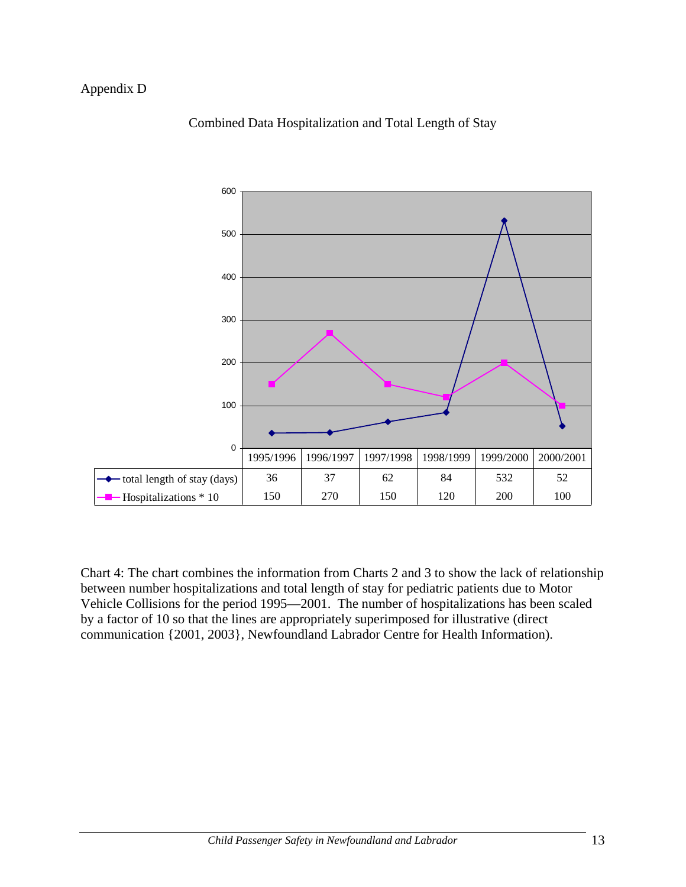#### Appendix D



#### Combined Data Hospitalization and Total Length of Stay

Chart 4: The chart combines the information from Charts 2 and 3 to show the lack of relationship between number hospitalizations and total length of stay for pediatric patients due to Motor Vehicle Collisions for the period 1995—2001. The number of hospitalizations has been scaled by a factor of 10 so that the lines are appropriately superimposed for illustrative (direct communication {2001, 2003}, Newfoundland Labrador Centre for Health Information).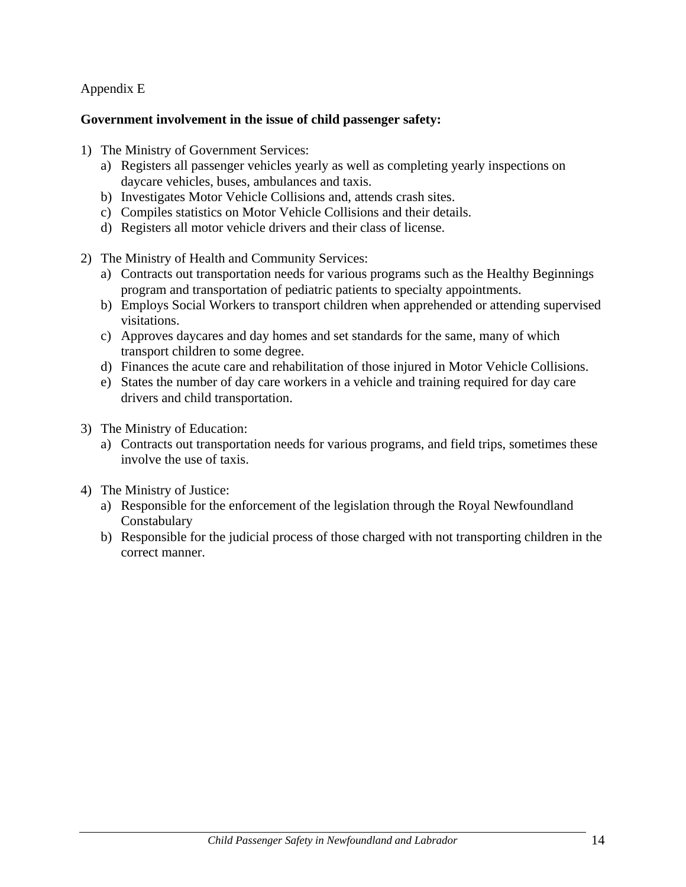#### Appendix E

#### **Government involvement in the issue of child passenger safety:**

- 1) The Ministry of Government Services:
	- a) Registers all passenger vehicles yearly as well as completing yearly inspections on daycare vehicles, buses, ambulances and taxis.
	- b) Investigates Motor Vehicle Collisions and, attends crash sites.
	- c) Compiles statistics on Motor Vehicle Collisions and their details.
	- d) Registers all motor vehicle drivers and their class of license.
- 2) The Ministry of Health and Community Services:
	- a) Contracts out transportation needs for various programs such as the Healthy Beginnings program and transportation of pediatric patients to specialty appointments.
	- b) Employs Social Workers to transport children when apprehended or attending supervised visitations.
	- c) Approves daycares and day homes and set standards for the same, many of which transport children to some degree.
	- d) Finances the acute care and rehabilitation of those injured in Motor Vehicle Collisions.
	- e) States the number of day care workers in a vehicle and training required for day care drivers and child transportation.
- 3) The Ministry of Education:
	- a) Contracts out transportation needs for various programs, and field trips, sometimes these involve the use of taxis.
- 4) The Ministry of Justice:
	- a) Responsible for the enforcement of the legislation through the Royal Newfoundland Constabulary
	- b) Responsible for the judicial process of those charged with not transporting children in the correct manner.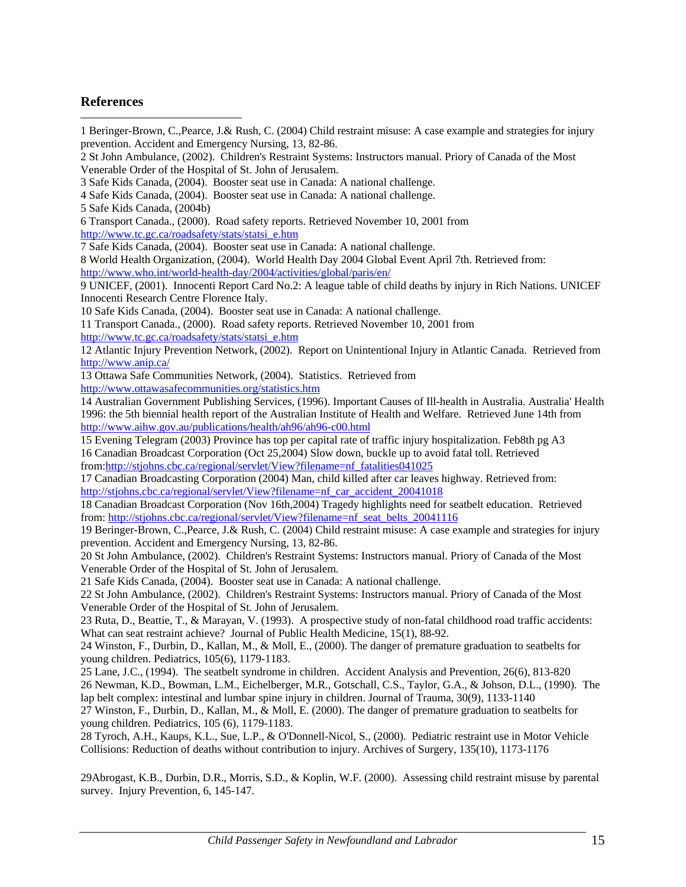# **References**

 $\overline{a}$ 

| 1 Beringer-Brown, C., Pearce, J.& Rush, C. (2004) Child restraint misuse: A case example and strategies for injury                                                                                       |  |
|----------------------------------------------------------------------------------------------------------------------------------------------------------------------------------------------------------|--|
| prevention. Accident and Emergency Nursing, 13, 82-86.                                                                                                                                                   |  |
| 2 St John Ambulance, (2002). Children's Restraint Systems: Instructors manual. Priory of Canada of the Most                                                                                              |  |
| Venerable Order of the Hospital of St. John of Jerusalem.                                                                                                                                                |  |
| 3 Safe Kids Canada, (2004). Booster seat use in Canada: A national challenge.                                                                                                                            |  |
| 4 Safe Kids Canada, (2004). Booster seat use in Canada: A national challenge.                                                                                                                            |  |
| 5 Safe Kids Canada, (2004b)                                                                                                                                                                              |  |
| 6 Transport Canada., (2000). Road safety reports. Retrieved November 10, 2001 from                                                                                                                       |  |
| http://www.tc.gc.ca/roadsafety/stats/statsi_e.htm                                                                                                                                                        |  |
| 7 Safe Kids Canada, (2004). Booster seat use in Canada: A national challenge.                                                                                                                            |  |
| 8 World Health Organization, (2004). World Health Day 2004 Global Event April 7th. Retrieved from:                                                                                                       |  |
| http://www.who.int/world-health-day/2004/activities/global/paris/en/                                                                                                                                     |  |
| 9 UNICEF, (2001). Innocenti Report Card No.2: A league table of child deaths by injury in Rich Nations. UNICEF                                                                                           |  |
| Innocenti Research Centre Florence Italy.                                                                                                                                                                |  |
| 10 Safe Kids Canada, (2004). Booster seat use in Canada: A national challenge.                                                                                                                           |  |
| 11 Transport Canada., (2000). Road safety reports. Retrieved November 10, 2001 from                                                                                                                      |  |
| http://www.tc.gc.ca/roadsafety/stats/statsi_e.htm                                                                                                                                                        |  |
| 12 Atlantic Injury Prevention Network, (2002). Report on Unintentional Injury in Atlantic Canada. Retrieved from                                                                                         |  |
| http://www.anip.ca/                                                                                                                                                                                      |  |
| 13 Ottawa Safe Communities Network, (2004). Statistics. Retrieved from                                                                                                                                   |  |
| http://www.ottawasafecommunities.org/statistics.htm                                                                                                                                                      |  |
| 14 Australian Government Publishing Services, (1996). Important Causes of Ill-health in Australia. Australia' Health                                                                                     |  |
| 1996: the 5th biennial health report of the Australian Institute of Health and Welfare. Retrieved June 14th from                                                                                         |  |
| http://www.aihw.gov.au/publications/health/ah96/ah96-c00.html                                                                                                                                            |  |
| 15 Evening Telegram (2003) Province has top per capital rate of traffic injury hospitalization. Feb8th pg A3                                                                                             |  |
| 16 Canadian Broadcast Corporation (Oct 25,2004) Slow down, buckle up to avoid fatal toll. Retrieved                                                                                                      |  |
| from:http://stjohns.cbc.ca/regional/servlet/View?filename=nf_fatalities041025                                                                                                                            |  |
| 17 Canadian Broadcasting Corporation (2004) Man, child killed after car leaves highway. Retrieved from:                                                                                                  |  |
| http://stjohns.cbc.ca/regional/servlet/View?filename=nf_car_accident_20041018                                                                                                                            |  |
| 18 Canadian Broadcast Corporation (Nov 16th, 2004) Tragedy highlights need for seatbelt education. Retrieved                                                                                             |  |
| from: http://stjohns.cbc.ca/regional/servlet/View?filename=nf seat belts 20041116<br>19 Beringer-Brown, C., Pearce, J.& Rush, C. (2004) Child restraint misuse: A case example and strategies for injury |  |
|                                                                                                                                                                                                          |  |
| prevention. Accident and Emergency Nursing, 13, 82-86.                                                                                                                                                   |  |
| 20 St John Ambulance, (2002). Children's Restraint Systems: Instructors manual. Priory of Canada of the Most<br>Venerable Order of the Hospital of St. John of Jerusalem.                                |  |
| 21 Safe Kids Canada, (2004). Booster seat use in Canada: A national challenge.                                                                                                                           |  |
| 22 St John Ambulance, (2002). Children's Restraint Systems: Instructors manual. Priory of Canada of the Most                                                                                             |  |
| Venerable Order of the Hospital of St. John of Jerusalem.                                                                                                                                                |  |
| 23 Ruta, D., Beattie, T., & Marayan, V. (1993). A prospective study of non-fatal childhood road traffic accidents:                                                                                       |  |
| What can seat restraint achieve? Journal of Public Health Medicine, 15(1), 88-92.                                                                                                                        |  |
| 24 Winston, F., Durbin, D., Kallan, M., & Moll, E., (2000). The danger of premature graduation to seatbelts for                                                                                          |  |
| young children. Pediatrics, 105(6), 1179-1183.                                                                                                                                                           |  |
| 25 Lane, J.C., (1994). The seatbelt syndrome in children. Accident Analysis and Prevention, 26(6), 813-820                                                                                               |  |
| 26 Newman, K.D., Bowman, L.M., Eichelberger, M.R., Gotschall, C.S., Taylor, G.A., & Johson, D.L., (1990). The                                                                                            |  |
| lap belt complex: intestinal and lumbar spine injury in children. Journal of Trauma, 30(9), 1133-1140                                                                                                    |  |
| 27 Winston, F., Durbin, D., Kallan, M., & Moll, E. (2000). The danger of premature graduation to seatbelts for                                                                                           |  |
| young children. Pediatrics, 105 (6), 1179-1183.                                                                                                                                                          |  |
| 28 Tyroch, A.H., Kaups, K.L., Sue, L.P., & O'Donnell-Nicol, S., (2000). Pediatric restraint use in Motor Vehicle                                                                                         |  |
| Collisions: Reduction of deaths without contribution to injury. Archives of Surgery, 135(10), 1173-1176                                                                                                  |  |
|                                                                                                                                                                                                          |  |
| 29Abrogast, K.B., Durbin, D.R., Morris, S.D., & Koplin, W.F. (2000). Assessing child restraint misuse by parental                                                                                        |  |
| survey. Injury Prevention, 6, 145-147.                                                                                                                                                                   |  |
|                                                                                                                                                                                                          |  |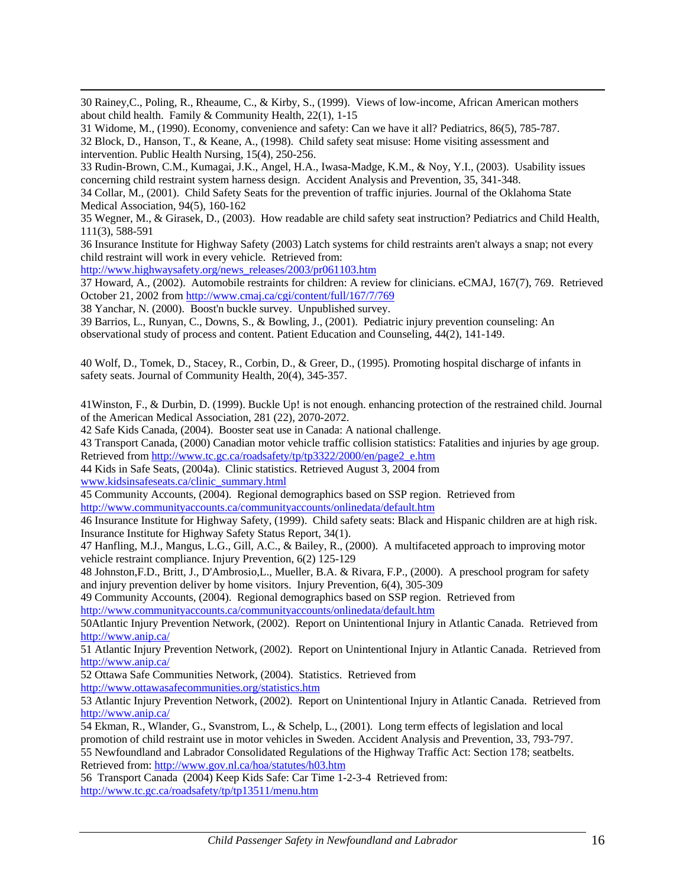30 Rainey,C., Poling, R., Rheaume, C., & Kirby, S., (1999). Views of low-income, African American mothers about child health. Family & Community Health, 22(1), 1-15

31 Widome, M., (1990). Economy, convenience and safety: Can we have it all? Pediatrics, 86(5), 785-787.

32 Block, D., Hanson, T., & Keane, A., (1998). Child safety seat misuse: Home visiting assessment and intervention. Public Health Nursing, 15(4), 250-256.

33 Rudin-Brown, C.M., Kumagai, J.K., Angel, H.A., Iwasa-Madge, K.M., & Noy, Y.I., (2003). Usability issues concerning child restraint system harness design. Accident Analysis and Prevention, 35, 341-348.

34 Collar, M., (2001). Child Safety Seats for the prevention of traffic injuries. Journal of the Oklahoma State Medical Association, 94(5), 160-162

35 Wegner, M., & Girasek, D., (2003). How readable are child safety seat instruction? Pediatrics and Child Health, 111(3), 588-591

36 Insurance Institute for Highway Safety (2003) Latch systems for child restraints aren't always a snap; not every child restraint will work in every vehicle. Retrieved from:

[http://www.highwaysafety.org/news\\_releases/2003/pr061103.htm](http://www.highwaysafety.org/news_releases/2003/pr061103.htm)

37 Howard, A., (2002). Automobile restraints for children: A review for clinicians. eCMAJ, 167(7), 769. Retrieved October 21, 2002 from<http://www.cmaj.ca/cgi/content/full/167/7/769>

38 Yanchar, N. (2000). Boost'n buckle survey. Unpublished survey.

39 Barrios, L., Runyan, C., Downs, S., & Bowling, J., (2001). Pediatric injury prevention counseling: An observational study of process and content. Patient Education and Counseling, 44(2), 141-149.

40 Wolf, D., Tomek, D., Stacey, R., Corbin, D., & Greer, D., (1995). Promoting hospital discharge of infants in safety seats. Journal of Community Health, 20(4), 345-357.

41Winston, F., & Durbin, D. (1999). Buckle Up! is not enough. enhancing protection of the restrained child. Journal of the American Medical Association, 281 (22), 2070-2072.

42 Safe Kids Canada, (2004). Booster seat use in Canada: A national challenge.

43 Transport Canada, (2000) Canadian motor vehicle traffic collision statistics: Fatalities and injuries by age group. Retrieved from [http://www.tc.gc.ca/roadsafety/tp/tp3322/2000/en/page2\\_e.htm](http://www.tc.gc.ca/roadsafety/tp/tp3322/2000/en/page2_e.htm)

44 Kids in Safe Seats, (2004a). Clinic statistics. Retrieved August 3, 2004 from

[www.kidsinsafeseats.ca/clinic\\_summary.html](http://www.kidsinsafeseats.ca/clinic_summary.html)

1

45 Community Accounts, (2004). Regional demographics based on SSP region. Retrieved from <http://www.communityaccounts.ca/communityaccounts/onlinedata/default.htm>

46 Insurance Institute for Highway Safety, (1999). Child safety seats: Black and Hispanic children are at high risk. Insurance Institute for Highway Safety Status Report, 34(1).

47 Hanfling, M.J., Mangus, L.G., Gill, A.C., & Bailey, R., (2000). A multifaceted approach to improving motor vehicle restraint compliance. Injury Prevention, 6(2) 125-129

48 Johnston,F.D., Britt, J., D'Ambrosio,L., Mueller, B.A. & Rivara, F.P., (2000). A preschool program for safety and injury prevention deliver by home visitors. Injury Prevention, 6(4), 305-309

49 Community Accounts, (2004). Regional demographics based on SSP region. Retrieved from <http://www.communityaccounts.ca/communityaccounts/onlinedata/default.htm>

50Atlantic Injury Prevention Network, (2002). Report on Unintentional Injury in Atlantic Canada. Retrieved from <http://www.anip.ca/>

51 Atlantic Injury Prevention Network, (2002). Report on Unintentional Injury in Atlantic Canada. Retrieved from <http://www.anip.ca/>

52 Ottawa Safe Communities Network, (2004). Statistics. Retrieved from <http://www.ottawasafecommunities.org/statistics.htm>

53 Atlantic Injury Prevention Network, (2002). Report on Unintentional Injury in Atlantic Canada. Retrieved from <http://www.anip.ca/>

54 Ekman, R., Wlander, G., Svanstrom, L., & Schelp, L., (2001). Long term effects of legislation and local promotion of child restraint use in motor vehicles in Sweden. Accident Analysis and Prevention, 33, 793-797. 55 Newfoundland and Labrador Consolidated Regulations of the Highway Traffic Act: Section 178; seatbelts. Retrieved from:<http://www.gov.nl.ca/hoa/statutes/h03.htm>

56 Transport Canada (2004) Keep Kids Safe: Car Time 1-2-3-4 Retrieved from: <http://www.tc.gc.ca/roadsafety/tp/tp13511/menu.htm>